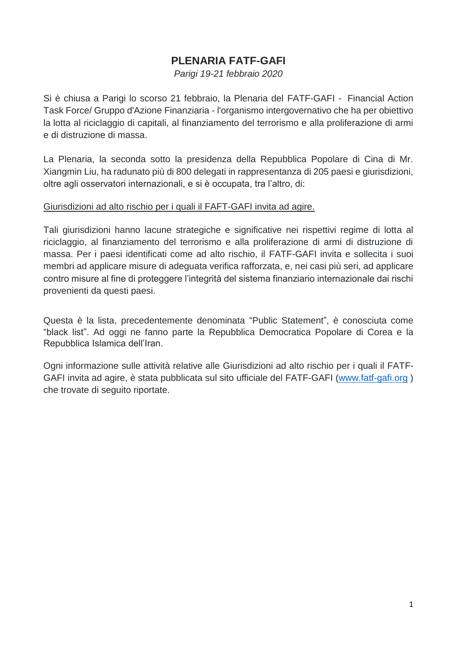## **PLENARIA FATF-GAFI**

*Parigi 19-21 febbraio 2020*

Si è chiusa a Parigi lo scorso 21 febbraio, la Plenaria del FATF-GAFI - Financial Action Task Force/ Gruppo d'Azione Finanziaria - l'organismo intergovernativo che ha per obiettivo la lotta al riciclaggio di capitali, al finanziamento del terrorismo e alla proliferazione di armi e di distruzione di massa.

La Plenaria, la seconda sotto la presidenza della Repubblica Popolare di Cina di Mr. Xiangmin Liu, ha radunato più di 800 delegati in rappresentanza di 205 paesi e giurisdizioni, oltre agli osservatori internazionali, e si è occupata, tra l'altro, di:

## Giurisdizioni ad alto rischio per i quali il FAFT-GAFI invita ad agire.

Tali giurisdizioni hanno lacune strategiche e significative nei rispettivi regime di lotta al riciclaggio, al finanziamento del terrorismo e alla proliferazione di armi di distruzione di massa. Per i paesi identificati come ad alto rischio, il FATF-GAFI invita e sollecita i suoi membri ad applicare misure di adeguata verifica rafforzata, e, nei casi più seri, ad applicare contro misure al fine di proteggere l'integrità del sistema finanziario internazionale dai rischi provenienti da questi paesi.

Questa è la lista, precedentemente denominata "Public Statement", è conosciuta come "black list". Ad oggi ne fanno parte la Repubblica Democratica Popolare di Corea e la Repubblica Islamica dell'Iran.

Ogni informazione sulle attività relative alle Giurisdizioni ad alto rischio per i quali il FATF-GAFI invita ad agire, è stata pubblicata sul sito ufficiale del FATF-GAFI [\(www.fatf-gafi.org](http://www.fatf-gafi.org/) ) che trovate di seguito riportate.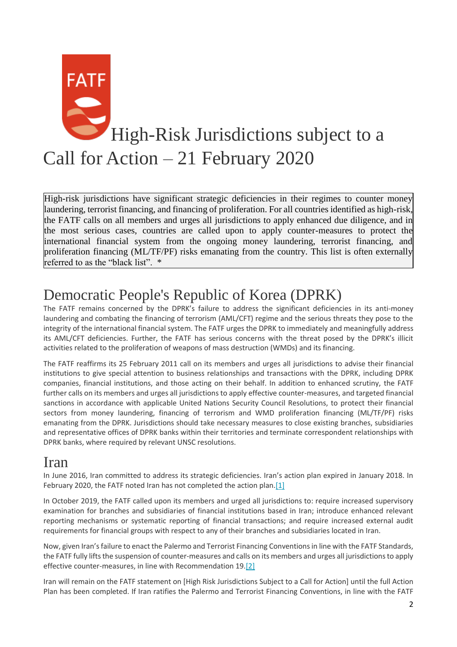

High-risk jurisdictions have significant strategic deficiencies in their regimes to counter money laundering, terrorist financing, and financing of proliferation. For all countries identified as high-risk, the FATF calls on all members and urges all jurisdictions to apply enhanced due diligence, and in the most serious cases, countries are called upon to apply counter-measures to protect the international financial system from the ongoing money laundering, terrorist financing, and proliferation financing (ML/TF/PF) risks emanating from the country. This list is often externally referred to as the "black list". \*

## Democratic People's Republic of Korea (DPRK)

The FATF remains concerned by the DPRK's failure to address the significant deficiencies in its anti-money laundering and combating the financing of terrorism (AML/CFT) regime and the serious threats they pose to the integrity of the international financial system. The FATF urges the DPRK to immediately and meaningfully address its AML/CFT deficiencies. Further, the FATF has serious concerns with the threat posed by the DPRK's illicit activities related to the proliferation of weapons of mass destruction (WMDs) and its financing.

The FATF reaffirms its 25 February 2011 call on its members and urges all jurisdictions to advise their financial institutions to give special attention to business relationships and transactions with the DPRK, including DPRK companies, financial institutions, and those acting on their behalf. In addition to enhanced scrutiny, the FATF further calls on its members and urges all jurisdictions to apply effective counter-measures, and targeted financial sanctions in accordance with applicable United Nations Security Council Resolutions, to protect their financial sectors from money laundering, financing of terrorism and WMD proliferation financing (ML/TF/PF) risks emanating from the DPRK. Jurisdictions should take necessary measures to close existing branches, subsidiaries and representative offices of DPRK banks within their territories and terminate correspondent relationships with DPRK banks, where required by relevant UNSC resolutions.

## Iran

In June 2016, Iran committed to address its strategic deficiencies. Iran's action plan expired in January 2018. In February 2020, the FATF noted Iran has not completed the action plan[.\[1\]](http://www.fatf-gafi.org/publications/high-risk-and-other-monitored-jurisdictions/documents/call-for-action-february-2020.html#fn1)

In October 2019, the FATF called upon its members and urged all jurisdictions to: require increased supervisory examination for branches and subsidiaries of financial institutions based in Iran; introduce enhanced relevant reporting mechanisms or systematic reporting of financial transactions; and require increased external audit requirements for financial groups with respect to any of their branches and subsidiaries located in Iran.

Now, given Iran's failure to enact the Palermo and Terrorist Financing Conventions in line with the FATF Standards, the FATF fully lifts the suspension of counter-measures and calls on its members and urges all jurisdictions to apply effective counter-measures, in line with Recommendation 19[.\[2\]](http://www.fatf-gafi.org/publications/high-risk-and-other-monitored-jurisdictions/documents/call-for-action-february-2020.html#fn2)

Iran will remain on the FATF statement on [High Risk Jurisdictions Subject to a Call for Action] until the full Action Plan has been completed. If Iran ratifies the Palermo and Terrorist Financing Conventions, in line with the FATF